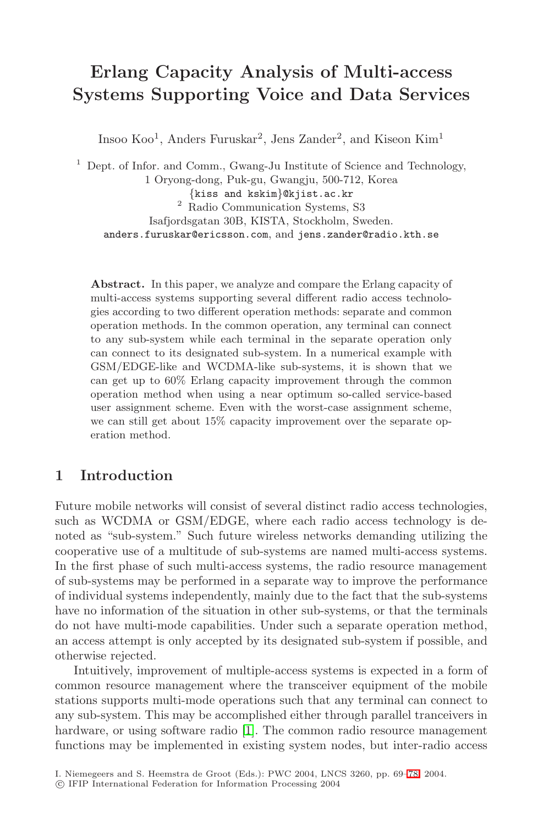# **Erlang Capacity Analysis of Multi-access Systems Supporting Voice and Data Services**

Insoo Koo<sup>1</sup>, Anders Furuskar<sup>2</sup>, Jens Zander<sup>2</sup>, and Kiseon Kim<sup>1</sup>

<sup>1</sup> Dept. of Infor. and Comm., Gwang-Ju Institute of Science and Technology, 1 Oryong-dong, Puk-gu, Gwangju, 500-712, Korea {kiss and kskim}@kjist.ac.kr <sup>2</sup> Radio Communication Systems, S3 Isafjordsgatan 30B, KISTA, Stockholm, Sweden. anders.furuskar@ericsson.com, and jens.zander@radio.kth.se

**Abstract.** In this paper, we analyze and compare the Erlang capacity of multi-access systems supporting several different radio access technologies according to two different operation methods: separate and common operation methods. In the common operation, any terminal can connect to any sub-system while each terminal in the separate operation only can connect to its designated sub-system. In a numerical example with GSM/EDGE-like and WCDMA-like sub-systems, it is shown that we can get up to 60% Erlang capacity improvement through the common operation method when using a near optimum so-called service-based user assignment scheme. Even with the worst-case assignment scheme, we can still get about 15% capacity improvement over the separate operation method.

## **1 Introduction**

Future mobile networks will consist of several distinct radio access technologies, such as WCDMA or GSM/EDGE, where each radio access technology is denoted as "sub-system." Such future wireless networks demanding utilizing the cooperative use of a multitude of sub-systems are named multi-access systems. In the first phase of such multi-access systems, the radio resource management of sub-systems may be performed in a separate way to improve the performance of individual systems independently, mainly due to the fact that the sub-systems have no information of the situation in other sub-systems, or that the terminals do not have multi-mode capabilities. Under such a separate operation method, an access attempt is only accepted by its designated sub-system if possible, and otherwise rejected.

Intuitively, improvement of multiple-access systems is expected in a form of common resource management where the transceiver equipment of the mobile stations supports multi-mode operations such that any terminal can connect to any sub-system. This may be accomplished either through parallel tranceivers in hardware, or using software radio [\[1\]](#page-9-0). The common radio resource management functions may be implemented in existing system nodes, but inter-radio access

c IFIP International Federation for Information Processing 2004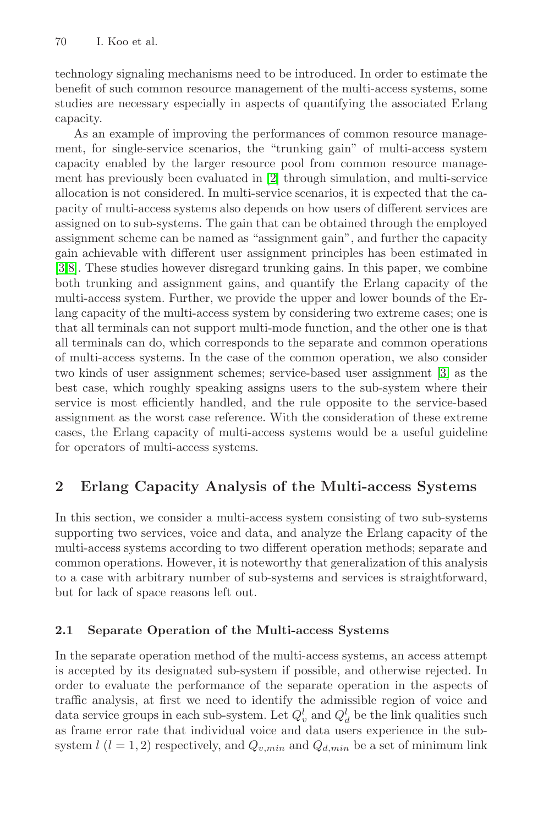technology signaling mechanisms need to be introduced. In order to estimate the benefit of such common resource management of the multi-access systems, some studies are necessary especially in aspects of quantifying the associated Erlang capacity.

As an example of improving the performances of common resource management, for single-service scenarios, the "trunking gain" of multi-access system capacity enabled by the larger resource pool from common resource management has previously been evaluated in [\[2\]](#page-9-0) through simulation, and multi-service allocation is not considered. In multi-service scenarios, it is expected that the capacity of multi-access systems also depends on how users of different services are assigned on to sub-systems. The gain that can be obtained through the employed assignment scheme can be named as "assignment gain", and further the capacity gain achievable with different user assignment principles has been estimated in [\[3,8\]](#page-9-0). These studies however disregard trunking gains. In this paper, we combine both trunking and assignment gains, and quantify the Erlang capacity of the multi-access system. Further, we provide the upper and lower bounds of the Erlang capacity of the multi-access system by considering two extreme cases; one is that all terminals can not support multi-mode function, and the other one is that all terminals can do, which corresponds to the separate and common operations of multi-access systems. In the case of the common operation, we also consider two kinds of user assignment schemes; service-based user assignment [\[3\]](#page-9-0) as the best case, which roughly speaking assigns users to the sub-system where their service is most efficiently handled, and the rule opposite to the service-based assignment as the worst case reference. With the consideration of these extreme cases, the Erlang capacity of multi-access systems would be a useful guideline for operators of multi-access systems.

## **2 Erlang Capacity Analysis of the Multi-access Systems**

In this section, we consider a multi-access system consisting of two sub-systems supporting two services, voice and data, and analyze the Erlang capacity of the multi-access systems according to two different operation methods; separate and common operations. However, it is noteworthy that generalization of this analysis to a case with arbitrary number of sub-systems and services is straightforward, but for lack of space reasons left out.

### **2.1 Separate Operation of the Multi-access Systems**

In the separate operation method of the multi-access systems, an access attempt is accepted by its designated sub-system if possible, and otherwise rejected. In order to evaluate the performance of the separate operation in the aspects of traffic analysis, at first we need to identify the admissible region of voice and data service groups in each sub-system. Let  $Q_v^l$  and  $Q_d^l$  be the link qualities such as frame error rate that individual voice and data users experience in the subsystem  $l$   $(l = 1, 2)$  respectively, and  $Q_{v,min}$  and  $Q_{d,min}$  be a set of minimum link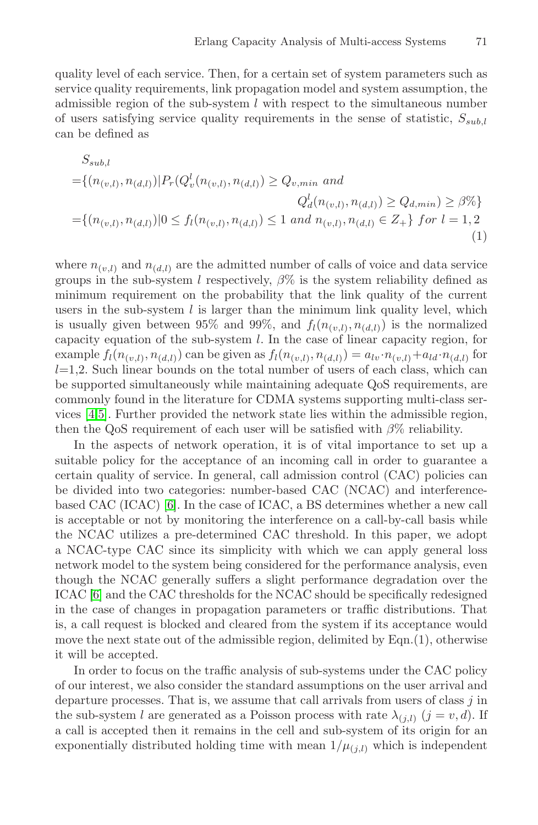quality level of each service. Then, for a certain set of system parameters such as service quality requirements, link propagation model and system assumption, the admissible region of the sub-system  $l$  with respect to the simultaneous number of users satisfying service quality requirements in the sense of statistic,  $S_{sub,l}$ can be defined as

$$
S_{sub,l}
$$
  
={ $(n_{(v,l)}, n_{(d,l)})|P_r(Q_v^l(n_{(v,l)}, n_{(d,l)}) \ge Q_{v,min}$  and  
 $Q_d^l(n_{(v,l)}, n_{(d,l)}) \ge Q_{d,min}) \ge \beta\%$ }  
={ $(n_{(v,l)}, n_{(d,l)})|0 \le f_l(n_{(v,l)}, n_{(d,l)}) \le 1$  and  $n_{(v,l)}, n_{(d,l)} \in Z_+\}$  for  $l = 1, 2$  (1)

where  $n_{(v,l)}$  and  $n_{(d,l)}$  are the admitted number of calls of voice and data service groups in the sub-system l respectively,  $\beta$ % is the system reliability defined as minimum requirement on the probability that the link quality of the current users in the sub-system  $l$  is larger than the minimum link quality level, which is usually given between 95% and 99%, and  $f_l(n_{(v,l)}, n_{(d,l)})$  is the normalized capacity equation of the sub-system l. In the case of linear capacity region, for example  $f_l(n_{(v,l)}, n_{(d,l)})$  can be given as  $f_l(n_{(v,l)}, n_{(d,l)}) = a_{lv} \cdot n_{(v,l)} + a_{ld} \cdot n_{(d,l)}$  for  $l=1,2$ . Such linear bounds on the total number of users of each class, which can be supported simultaneously while maintaining adequate QoS requirements, are commonly found in the literature for CDMA systems supporting multi-class services [\[4,5\]](#page-9-0). Further provided the network state lies within the admissible region, then the QoS requirement of each user will be satisfied with  $\beta\%$  reliability.

In the aspects of network operation, it is of vital importance to set up a suitable policy for the acceptance of an incoming call in order to guarantee a certain quality of service. In general, call admission control (CAC) policies can be divided into two categories: number-based CAC (NCAC) and interferencebased CAC (ICAC) [\[6\]](#page-9-0). In the case of ICAC, a BS determines whether a new call is acceptable or not by monitoring the interference on a call-by-call basis while the NCAC utilizes a pre-determined CAC threshold. In this paper, we adopt a NCAC-type CAC since its simplicity with which we can apply general loss network model to the system being considered for the performance analysis, even though the NCAC generally suffers a slight performance degradation over the ICAC [\[6\]](#page-9-0) and the CAC thresholds for the NCAC should be specifically redesigned in the case of changes in propagation parameters or traffic distributions. That is, a call request is blocked and cleared from the system if its acceptance would move the next state out of the admissible region, delimited by Eqn.(1), otherwise it will be accepted.

In order to focus on the traffic analysis of sub-systems under the CAC policy of our interest, we also consider the standard assumptions on the user arrival and departure processes. That is, we assume that call arrivals from users of class  $j$  in the sub-system l are generated as a Poisson process with rate  $\lambda_{(i,l)}$   $(j = v, d)$ . If a call is accepted then it remains in the cell and sub-system of its origin for an exponentially distributed holding time with mean  $1/\mu_{(j,l)}$  which is independent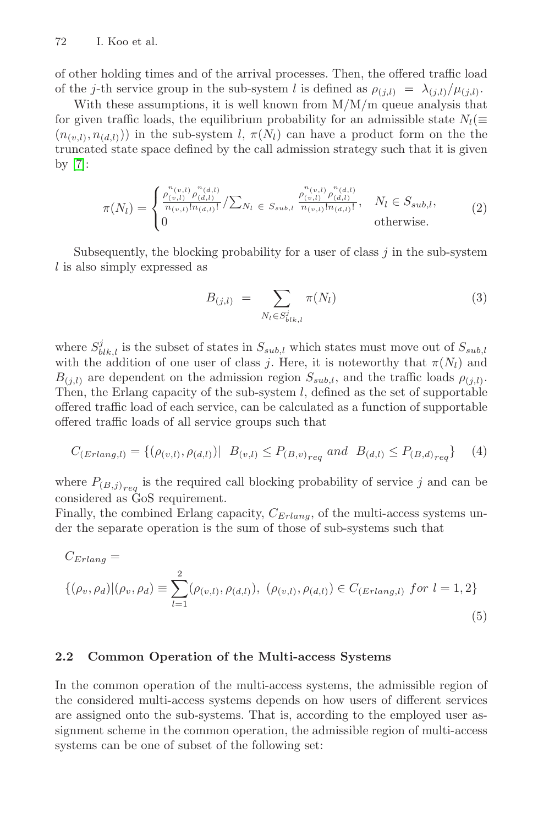of other holding times and of the arrival processes. Then, the offered traffic load of the j-th service group in the sub-system l is defined as  $\rho_{(i,l)} = \lambda_{(i,l)}/\mu_{(i,l)}$ .

With these assumptions, it is well known from  $M/M/m$  queue analysis that for given traffic loads, the equilibrium probability for an admissible state  $N_l(\equiv$  $(n_{(v,l)}, n_{(d,l)})$  in the sub-system l,  $\pi(N_l)$  can have a product form on the the truncated state space defined by the call admission strategy such that it is given by  $|7|$ :

$$
\pi(N_l) = \begin{cases}\n\frac{\rho_{(v,l)}^{n_{(v,l)}} \rho_{(d,l)}^{n_{(d,l)}}}{n_{(v,l)}! n_{(d,l)}!} / \sum_{N_l \in S_{sub,l}} \frac{\rho_{(v,l)}^{n_{(v,l)}} \rho_{(d,l)}^{n_{(d,l)}}}{n_{(v,l)}! n_{(d,l)}!}, & N_l \in S_{sub,l}, \\
0 & \text{otherwise.} \n\end{cases}
$$
\n(2)

Subsequently, the blocking probability for a user of class  $j$  in the sub-system l is also simply expressed as

$$
B_{(j,l)} = \sum_{N_l \in S_{blk,l}^j} \pi(N_l)
$$
 (3)

where  $S_{blk,l}^j$  is the subset of states in  $S_{sub,l}$  which states must move out of  $S_{sub,l}$ with the addition of one user of class j. Here, it is noteworthy that  $\pi(N_l)$  and  $B_{(i,l)}$  are dependent on the admission region  $S_{sub,l}$ , and the traffic loads  $\rho_{(i,l)}$ . Then, the Erlang capacity of the sub-system  $l$ , defined as the set of supportable offered traffic load of each service, can be calculated as a function of supportable offered traffic loads of all service groups such that

$$
C_{(Erlang,l)} = \{ (\rho_{(v,l)}, \rho_{(d,l)}) | B_{(v,l)} \le P_{(B,v)_{req}} \text{ and } B_{(d,l)} \le P_{(B,d)_{req}} \} \tag{4}
$$

where  $P_{(B,j)}_{reg}$  is the required call blocking probability of service j and can be considered as GoS requirement.

Finally, the combined Erlang capacity,  $C_{Erlang}$ , of the multi-access systems under the separate operation is the sum of those of sub-systems such that

$$
C_{Erlang} =
$$
  

$$
\{(\rho_v, \rho_d) | (\rho_v, \rho_d) \equiv \sum_{l=1}^{2} (\rho_{(v,l)}, \rho_{(d,l)}), \ (\rho_{(v,l)}, \rho_{(d,l)}) \in C_{(Erlang,l)} \text{ for } l = 1, 2\}
$$
  
(5)

#### **2.2 Common Operation of the Multi-access Systems**

In the common operation of the multi-access systems, the admissible region of the considered multi-access systems depends on how users of different services are assigned onto the sub-systems. That is, according to the employed user assignment scheme in the common operation, the admissible region of multi-access systems can be one of subset of the following set: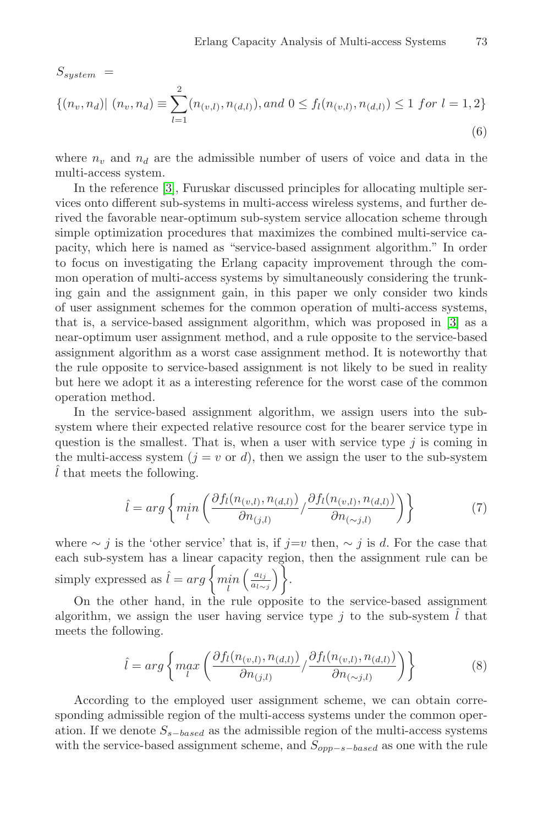$$
S_{system} =
$$
  

$$
\{(n_v, n_d) | (n_v, n_d) \equiv \sum_{l=1}^{2} (n_{(v,l)}, n_{(d,l)}), and 0 \le f_l(n_{(v,l)}, n_{(d,l)}) \le 1 \text{ for } l = 1, 2\}
$$
  
(6)

where  $n_v$  and  $n_d$  are the admissible number of users of voice and data in the multi-access system.

In the reference [\[3\]](#page-9-0), Furuskar discussed principles for allocating multiple services onto different sub-systems in multi-access wireless systems, and further derived the favorable near-optimum sub-system service allocation scheme through simple optimization procedures that maximizes the combined multi-service capacity, which here is named as "service-based assignment algorithm." In order to focus on investigating the Erlang capacity improvement through the common operation of multi-access systems by simultaneously considering the trunking gain and the assignment gain, in this paper we only consider two kinds of user assignment schemes for the common operation of multi-access systems, that is, a service-based assignment algorithm, which was proposed in [\[3\]](#page-9-0) as a near-optimum user assignment method, and a rule opposite to the service-based assignment algorithm as a worst case assignment method. It is noteworthy that the rule opposite to service-based assignment is not likely to be sued in reality but here we adopt it as a interesting reference for the worst case of the common operation method.

In the service-based assignment algorithm, we assign users into the subsystem where their expected relative resource cost for the bearer service type in question is the smallest. That is, when a user with service type  $j$  is coming in the multi-access system  $(j = v \text{ or } d)$ , then we assign the user to the sub-system  $\ell$  that meets the following.

$$
\hat{l} = arg \left\{ \min_{l} \left( \frac{\partial f_l(n_{(v,l)}, n_{(d,l)})}{\partial n_{(j,l)}} / \frac{\partial f_l(n_{(v,l)}, n_{(d,l)})}{\partial n_{(\sim j,l)}} \right) \right\} \tag{7}
$$

where  $\sim j$  is the 'other service' that is, if  $j=v$  then,  $\sim j$  is d. For the case that each sub-system has a linear capacity region, then the assignment rule can be simply expressed as  $\hat{l} = arg \left\{ \min_{l} \right\}$  $\int a_{lj}$ a*l*∼*<sup>j</sup>*  $\big)$ .

On the other hand, in the rule opposite to the service-based assignment algorithm, we assign the user having service type j to the sub-system  $\hat{l}$  that meets the following.

$$
\hat{l} = arg \left\{ \max_{l} \left( \frac{\partial f_l(n_{(v,l)}, n_{(d,l)})}{\partial n_{(j,l)}} / \frac{\partial f_l(n_{(v,l)}, n_{(d,l)})}{\partial n_{(\sim j,l)}} \right) \right\} \tag{8}
$$

According to the employed user assignment scheme, we can obtain corresponding admissible region of the multi-access systems under the common operation. If we denote  $S_{s-based}$  as the admissible region of the multi-access systems with the service-based assignment scheme, and  $S_{opp-s-based}$  as one with the rule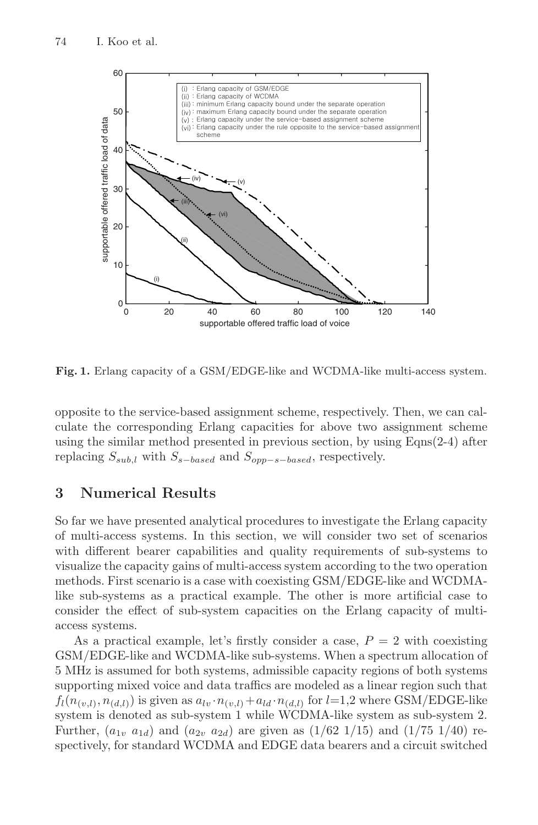<span id="page-5-0"></span>

**Fig. 1.** Erlang capacity of a GSM/EDGE-like and WCDMA-like multi-access system.

opposite to the service-based assignment scheme, respectively. Then, we can calculate the corresponding Erlang capacities for above two assignment scheme using the similar method presented in previous section, by using Eqns(2-4) after replacing  $S_{sub,l}$  with  $S_{s-based}$  and  $S_{omp-s-based}$ , respectively.

## **3 Numerical Results**

So far we have presented analytical procedures to investigate the Erlang capacity of multi-access systems. In this section, we will consider two set of scenarios with different bearer capabilities and quality requirements of sub-systems to visualize the capacity gains of multi-access system according to the two operation methods. First scenario is a case with coexisting GSM/EDGE-like and WCDMAlike sub-systems as a practical example. The other is more artificial case to consider the effect of sub-system capacities on the Erlang capacity of multiaccess systems.

As a practical example, let's firstly consider a case,  $P = 2$  with coexisting GSM/EDGE-like and WCDMA-like sub-systems. When a spectrum allocation of 5 MHz is assumed for both systems, admissible capacity regions of both systems supporting mixed voice and data traffics are modeled as a linear region such that  $f_l(n_{(v,l)}, n_{(d,l)})$  is given as  $a_{lv} \cdot n_{(v,l)} + a_{ld} \cdot n_{(d,l)}$  for  $l=1,2$  where GSM/EDGE-like system is denoted as sub-system 1 while WCDMA-like system as sub-system 2. Further,  $(a_{1v}, a_{1d})$  and  $(a_{2v}, a_{2d})$  are given as  $(1/62, 1/15)$  and  $(1/75, 1/40)$  respectively, for standard WCDMA and EDGE data bearers and a circuit switched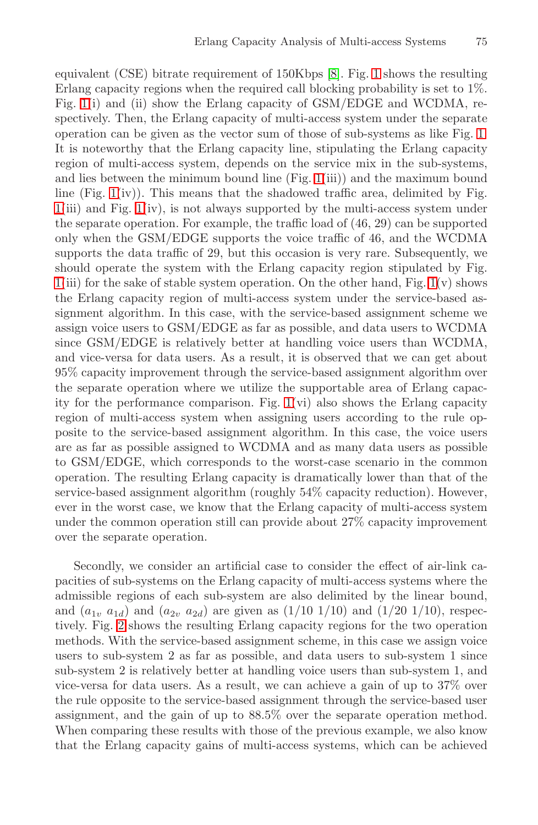equivalent (CSE) bitrate requirement of 150Kbps [\[8\]](#page-9-0). Fig. [1](#page-5-0) shows the resulting Erlang capacity regions when the required call blocking probability is set to 1%. Fig. [1\(](#page-5-0)i) and (ii) show the Erlang capacity of GSM/EDGE and WCDMA, respectively. Then, the Erlang capacity of multi-access system under the separate operation can be given as the vector sum of those of sub-systems as like Fig. [1.](#page-5-0) It is noteworthy that the Erlang capacity line, stipulating the Erlang capacity region of multi-access system, depends on the service mix in the sub-systems, and lies between the minimum bound line (Fig. [1\(](#page-5-0)iii)) and the maximum bound line (Fig. [1\(](#page-5-0)iv)). This means that the shadowed traffic area, delimited by Fig. [1\(](#page-5-0)iii) and Fig. [1\(](#page-5-0)iv), is not always supported by the multi-access system under the separate operation. For example, the traffic load of (46, 29) can be supported only when the GSM/EDGE supports the voice traffic of 46, and the WCDMA supports the data traffic of 29, but this occasion is very rare. Subsequently, we should operate the system with the Erlang capacity region stipulated by Fig.  $1(iii)$  $1(iii)$  for the sake of stable system operation. On the other hand, Fig.  $1(v)$  shows the Erlang capacity region of multi-access system under the service-based assignment algorithm. In this case, with the service-based assignment scheme we assign voice users to GSM/EDGE as far as possible, and data users to WCDMA since GSM/EDGE is relatively better at handling voice users than WCDMA, and vice-versa for data users. As a result, it is observed that we can get about 95% capacity improvement through the service-based assignment algorithm over the separate operation where we utilize the supportable area of Erlang capacity for the performance comparison. Fig. [1\(](#page-5-0)vi) also shows the Erlang capacity region of multi-access system when assigning users according to the rule opposite to the service-based assignment algorithm. In this case, the voice users are as far as possible assigned to WCDMA and as many data users as possible to GSM/EDGE, which corresponds to the worst-case scenario in the common operation. The resulting Erlang capacity is dramatically lower than that of the service-based assignment algorithm (roughly 54% capacity reduction). However, ever in the worst case, we know that the Erlang capacity of multi-access system under the common operation still can provide about 27% capacity improvement over the separate operation.

Secondly, we consider an artificial case to consider the effect of air-link capacities of sub-systems on the Erlang capacity of multi-access systems where the admissible regions of each sub-system are also delimited by the linear bound, and  $(a_{1v}, a_{1d})$  and  $(a_{2v}, a_{2d})$  are given as  $(1/10, 1/10)$  and  $(1/20, 1/10)$ , respectively. Fig. [2](#page-7-0) shows the resulting Erlang capacity regions for the two operation methods. With the service-based assignment scheme, in this case we assign voice users to sub-system 2 as far as possible, and data users to sub-system 1 since sub-system 2 is relatively better at handling voice users than sub-system 1, and vice-versa for data users. As a result, we can achieve a gain of up to 37% over the rule opposite to the service-based assignment through the service-based user assignment, and the gain of up to 88.5% over the separate operation method. When comparing these results with those of the previous example, we also know that the Erlang capacity gains of multi-access systems, which can be achieved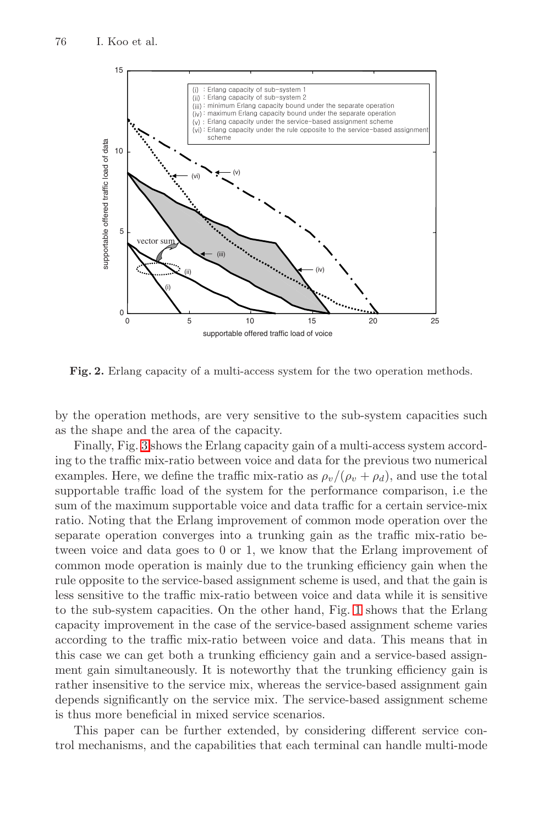<span id="page-7-0"></span>

**Fig. 2.** Erlang capacity of a multi-access system for the two operation methods.

by the operation methods, are very sensitive to the sub-system capacities such as the shape and the area of the capacity.

Finally, Fig. [3](#page-8-0) shows the Erlang capacity gain of a multi-access system according to the traffic mix-ratio between voice and data for the previous two numerical examples. Here, we define the traffic mix-ratio as  $\rho_v/(\rho_v + \rho_d)$ , and use the total supportable traffic load of the system for the performance comparison, i.e the sum of the maximum supportable voice and data traffic for a certain service-mix ratio. Noting that the Erlang improvement of common mode operation over the separate operation converges into a trunking gain as the traffic mix-ratio between voice and data goes to 0 or 1, we know that the Erlang improvement of common mode operation is mainly due to the trunking efficiency gain when the rule opposite to the service-based assignment scheme is used, and that the gain is less sensitive to the traffic mix-ratio between voice and data while it is sensitive to the sub-system capacities. On the other hand, Fig. [1](#page-5-0) shows that the Erlang capacity improvement in the case of the service-based assignment scheme varies according to the traffic mix-ratio between voice and data. This means that in this case we can get both a trunking efficiency gain and a service-based assignment gain simultaneously. It is noteworthy that the trunking efficiency gain is rather insensitive to the service mix, whereas the service-based assignment gain depends significantly on the service mix. The service-based assignment scheme is thus more beneficial in mixed service scenarios.

This paper can be further extended, by considering different service control mechanisms, and the capabilities that each terminal can handle multi-mode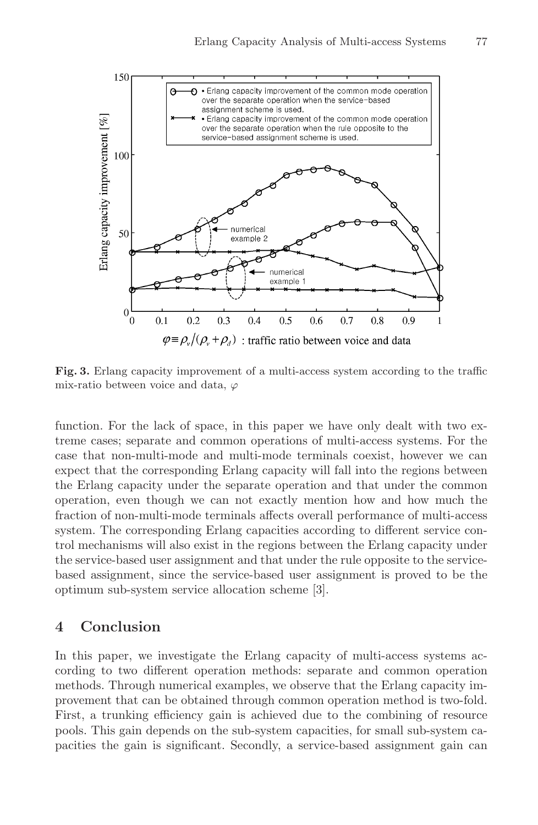<span id="page-8-0"></span>

**Fig. 3.** Erlang capacity improvement of a multi-access system according to the traffic mix-ratio between voice and data,  $\varphi$ 

function. For the lack of space, in this paper we have only dealt with two extreme cases; separate and common operations of multi-access systems. For the case that non-multi-mode and multi-mode terminals coexist, however we can expect that the corresponding Erlang capacity will fall into the regions between the Erlang capacity under the separate operation and that under the common operation, even though we can not exactly mention how and how much the fraction of non-multi-mode terminals affects overall performance of multi-access system. The corresponding Erlang capacities according to different service control mechanisms will also exist in the regions between the Erlang capacity under the service-based user assignment and that under the rule opposite to the servicebased assignment, since the service-based user assignment is proved to be the optimum sub-system service allocation scheme [3].

## **4 Conclusion**

In this paper, we investigate the Erlang capacity of multi-access systems according to two different operation methods: separate and common operation methods. Through numerical examples, we observe that the Erlang capacity improvement that can be obtained through common operation method is two-fold. First, a trunking efficiency gain is achieved due to the combining of resource pools. This gain depends on the sub-system capacities, for small sub-system capacities the gain is significant. Secondly, a service-based assignment gain can